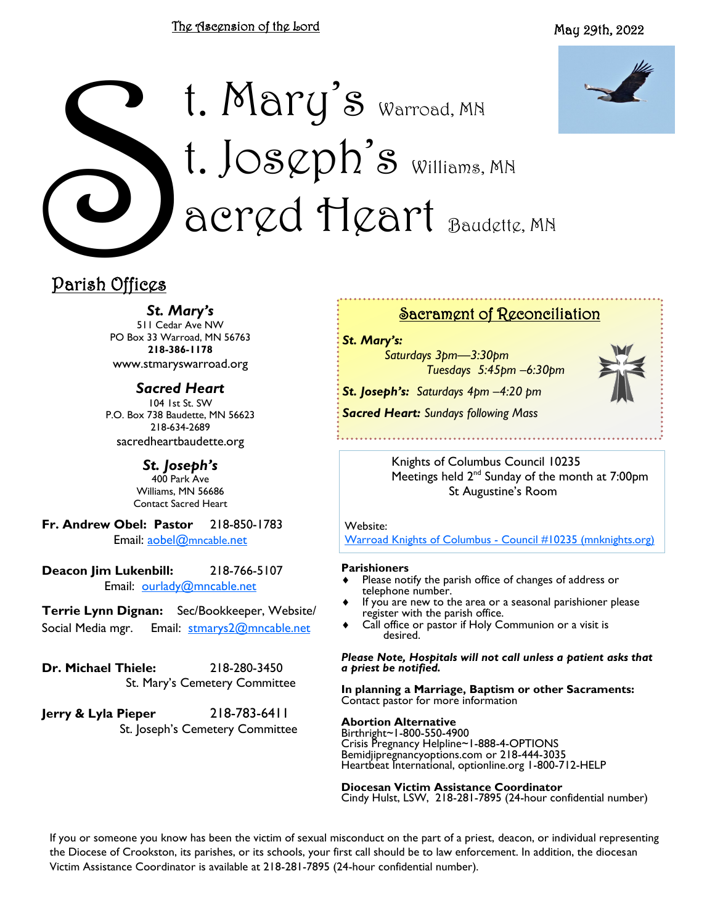#### The Ascension of the Lord



# Parish Offices t. Mary's Warroad, MN t. Jos $\varphi$ ph's Williams, MN acred Heart Baudette, MN

# Parish Offices

*St. Mary's*

511 Cedar Ave NW PO Box 33 Warroad, MN 56763 **218-386-1178** www.stmaryswarroad.org

*Sacred Heart* 104 1st St. SW P.O. Box 738 Baudette, MN 56623 218-634-2689 sacredheartbaudette.org

> *St. Joseph's* 400 Park Ave Williams, MN 56686 Contact Sacred Heart

**Fr. Andrew Obel: Pastor** 218-850-1783 Email: [aobel@](mailto:%20aobel@mncable.net)mncable.net

**Deacon Jim Lukenbill:** 218-766-5107 Email: [ourlady@mncable.net](mailto:ourlady@mncable.net)

**Terrie Lynn Dignan:** Sec/Bookkeeper, Website/ Social Media mgr. Email: [stmarys2@mncable.net](mailto:%20Stmarys2@mncable.net)

**Dr. Michael Thiele:** 218-280-3450 St. Mary's Cemetery Committee

**Jerry & Lyla Pieper** 218-783-6411 St. Joseph's Cemetery Committee

## Sacrament of Reconciliation

*St. Mary's:* 

*Saturdays 3pm—3:30pm Tuesdays 5:45pm –6:30pm*

*St. Joseph's: Saturdays 4pm –4:20 pm Sacred Heart: Sundays following Mass* 



Knights of Columbus Council 10235

Meetings held 2<sup>nd</sup> Sunday of the month at 7:00pm St Augustine's Room

Website:

[Warroad Knights of Columbus -](https://urldefense.com/v3/__https:/kc10235.mnknights.org/__;!!PkZFZeoa!vN_7KBQK7Exn-UymYA7_bA6v9ar8_rfWKmb14G7F9fAbYDjsCk-xaq0uAWywOH4$) Council #10235 (mnknights.org)

#### **Parishioners**

- Please notify the parish office of changes of address or telephone number.
- If you are new to the area or a seasonal parishioner please register with the parish office.
- Call office or pastor if Holy Communion or a visit is desired.

*Please Note, Hospitals will not call unless a patient asks that a priest be notified.*

**In planning a Marriage, Baptism or other Sacraments:**  Contact pastor for more information

#### **Abortion Alternative**

Birthright~1-800-550-4900 Crisis Pregnancy Helpline~1-888-4-OPTIONS Bemidjipregnancyoptions.com or 218-444-3035 Heartbeat International, optionline.org 1-800-712-HELP

**Diocesan Victim Assistance Coordinator** Cindy Hulst, LSW, 218-281-7895 (24-hour confidential number)

If you or someone you know has been the victim of sexual misconduct on the part of a priest, deacon, or individual representing the Diocese of Crookston, its parishes, or its schools, your first call should be to law enforcement. In addition, the diocesan Victim Assistance Coordinator is available at 218-281-7895 (24-hour confidential number).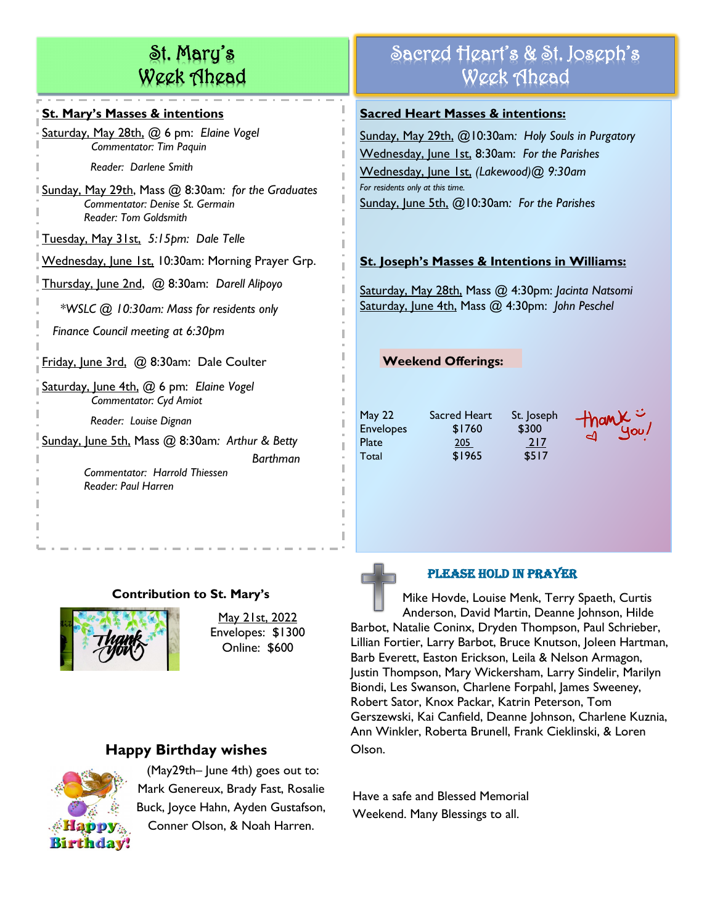# St. Mary's Week Ahead

#### **St. Mary's Masses & intentions**

Saturday, May 28th, @ 6 pm: *Elaine Vogel Commentator: Tim Paquin Reader: Darlene Smith*

Sunday, May 29th, Mass @ 8:30am*: for the Graduates Commentator: Denise St. Germain Reader: Tom Goldsmith*

Tuesday, May 31st, *5:15pm: Dale Telle*

Wednesday, June 1st, 10:30am: Morning Prayer Grp.

Thursday, June 2nd, @ 8:30am: *Darell Alipoyo* 

 *\*WSLC @ 10:30am: Mass for residents only* 

 *Finance Council meeting at 6:30pm*

Friday, June 3rd, @ 8:30am: Dale Coulter

Saturday, June 4th, @ 6 pm: *Elaine Vogel Commentator: Cyd Amiot*

 *Reader: Louise Dignan*

Sunday, June 5th, Mass @ 8:30am*: Arthur & Betty* 

 *Commentator: Harrold Thiessen Reader: Paul Harren*

## **Contribution to St. Mary's**



May 21st, 2022 Envelopes: \$1300 Online: \$600

*Barthman*

## **Happy Birthday wishes**



(May29th– June 4th) goes out to: Mark Genereux, Brady Fast, Rosalie Buck, Joyce Hahn, Ayden Gustafson, Conner Olson, & Noah Harren.

# Sacred Heart's & St. Joseph's Week Ahead

#### **Sacred Heart Masses & intentions:**

Sunday, May 29th, @10:30am*: Holy Souls in Purgatory* Wednesday, June 1st, 8:30am: *For the Parishes* Wednesday, June 1st, *(Lakewood)@ 9:30am For residents only at this time.* Sunday, June 5th, @10:30am*: For the Parishes*

## **St. Joseph's Masses & Intentions in Williams:**

Saturday, May 28th, Mass @ 4:30pm: *Jacinta Natsomi* Saturday, June 4th, Mass @ 4:30pm: *John Peschel*

**Weekend Offerings:** 

Envelopes \$1760 \$300 Plate 205 217 Total **\$1965** \$517

May 22 Sacred Heart St. Joseph



## PLEASE HOLD IN PRAYER

Mike Hovde, Louise Menk, Terry Spaeth, Curtis Anderson, David Martin, Deanne Johnson, Hilde Barbot, Natalie Coninx, Dryden Thompson, Paul Schrieber, Lillian Fortier, Larry Barbot, Bruce Knutson, Joleen Hartman, Barb Everett, Easton Erickson, Leila & Nelson Armagon, Justin Thompson, Mary Wickersham, Larry Sindelir, Marilyn Biondi, Les Swanson, Charlene Forpahl, James Sweeney, Robert Sator, Knox Packar, Katrin Peterson, Tom Gerszewski, Kai Canfield, Deanne Johnson, Charlene Kuznia, Ann Winkler, Roberta Brunell, Frank Cieklinski, & Loren Olson.

Have a safe and Blessed Memorial Weekend. Many Blessings to all.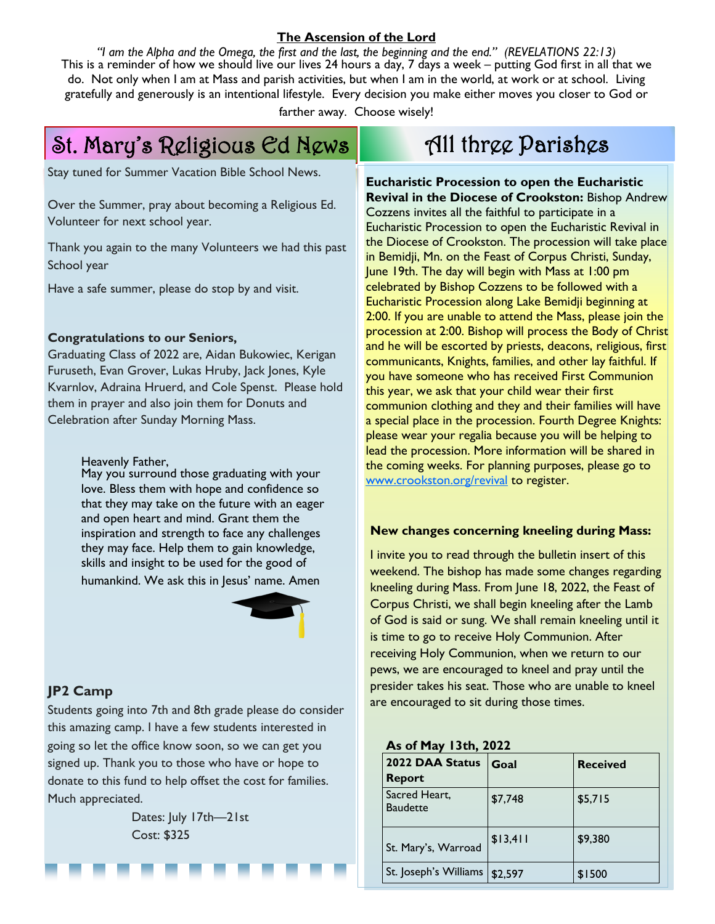#### **The Ascension of the Lord**

*"I am the Alpha and the Omega, the first and the last, the beginning and the end." (REVELATIONS 22:13)* This is a reminder of how we should live our lives 24 hours a day, 7 days a week – putting God first in all that we do. Not only when I am at Mass and parish activities, but when I am in the world, at work or at school. Living gratefully and generously is an intentional lifestyle. Every decision you make either moves you closer to God or

farther away. Choose wisely!

# St. Mary's Religious Ed News

Stay tuned for Summer Vacation Bible School News.

Over the Summer, pray about becoming a Religious Ed. Volunteer for next school year.

Thank you again to the many Volunteers we had this past School year

Have a safe summer, please do stop by and visit.

#### **Congratulations to our Seniors,**

Graduating Class of 2022 are, Aidan Bukowiec, Kerigan Furuseth, Evan Grover, Lukas Hruby, Jack Jones, Kyle Kvarnlov, Adraina Hruerd, and Cole Spenst. Please hold them in prayer and also join them for Donuts and Celebration after Sunday Morning Mass.

Heavenly Father,

May you surround those graduating with your love. Bless them with hope and confidence so that they may take on the future with an eager and open heart and mind. Grant them the inspiration and strength to face any challenges they may face. Help them to gain knowledge, skills and insight to be used for the good of humankind. We ask this in Jesus' name. Amen



#### **JP2 Camp**

Students going into 7th and 8th grade please do consider this amazing camp. I have a few students interested in going so let the office know soon, so we can get you signed up. Thank you to those who have or hope to donate to this fund to help offset the cost for families. Much appreciated.

> Dates: July 17th—21st Cost: \$325

# All three Parishes

**Eucharistic Procession to open the Eucharistic Revival in the Diocese of Crookston:** Bishop Andrew Cozzens invites all the faithful to participate in a Eucharistic Procession to open the Eucharistic Revival in the Diocese of Crookston. The procession will take place in Bemidji, Mn. on the Feast of Corpus Christi, Sunday, June 19th. The day will begin with Mass at 1:00 pm celebrated by Bishop Cozzens to be followed with a Eucharistic Procession along Lake Bemidji beginning at 2:00. If you are unable to attend the Mass, please join the procession at 2:00. Bishop will process the Body of Christ and he will be escorted by priests, deacons, religious, first communicants, Knights, families, and other lay faithful. If you have someone who has received First Communion this year, we ask that your child wear their first communion clothing and they and their families will have a special place in the procession. Fourth Degree Knights: please wear your regalia because you will be helping to lead the procession. More information will be shared in the coming weeks. For planning purposes, please go to [www.crookston.org/revival](http://www.crookston.org/revival) to register.

#### **New changes concerning kneeling during Mass:**

I invite you to read through the bulletin insert of this weekend. The bishop has made some changes regarding kneeling during Mass. From June 18, 2022, the Feast of Corpus Christi, we shall begin kneeling after the Lamb of God is said or sung. We shall remain kneeling until it is time to go to receive Holy Communion. After receiving Holy Communion, when we return to our pews, we are encouraged to kneel and pray until the presider takes his seat. Those who are unable to kneel are encouraged to sit during those times.

| 2022 DAA Status<br><b>Report</b> | Goal     | <b>Received</b> |
|----------------------------------|----------|-----------------|
| Sacred Heart,<br><b>Baudette</b> | \$7,748  | \$5,715         |
| St. Mary's, Warroad              | \$13,411 | \$9,380         |
| St. Joseph's Williams            | \$2,597  | \$1500          |